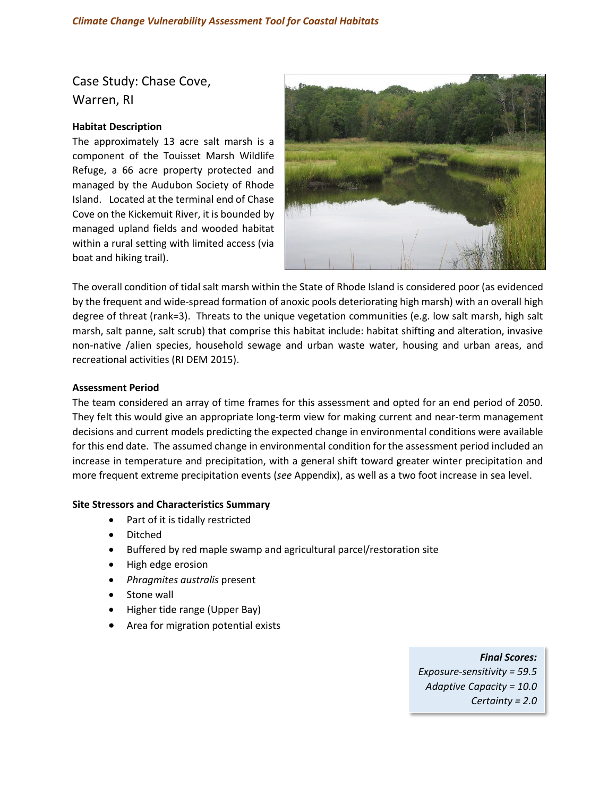Case Study: Chase Cove, Warren, RI

# **Habitat Description**

The approximately 13 acre salt marsh is a component of the Touisset Marsh Wildlife Refuge, a 66 acre property protected and managed by the Audubon Society of Rhode Island. Located at the terminal end of Chase Cove on the Kickemuit River, it is bounded by managed upland fields and wooded habitat within a rural setting with limited access (via boat and hiking trail).



The overall condition of tidal salt marsh within the State of Rhode Island is considered poor (as evidenced by the frequent and wide-spread formation of anoxic pools deteriorating high marsh) with an overall high degree of threat (rank=3). Threats to the unique vegetation communities (e.g. low salt marsh, high salt marsh, salt panne, salt scrub) that comprise this habitat include: habitat shifting and alteration, invasive non-native /alien species, household sewage and urban waste water, housing and urban areas, and recreational activities (RI DEM 2015).

### **Assessment Period**

The team considered an array of time frames for this assessment and opted for an end period of 2050. They felt this would give an appropriate long-term view for making current and near-term management decisions and current models predicting the expected change in environmental conditions were available for this end date. The assumed change in environmental condition for the assessment period included an increase in temperature and precipitation, with a general shift toward greater winter precipitation and more frequent extreme precipitation events (*see* Appendix), as well as a two foot increase in sea level.

## **Site Stressors and Characteristics Summary**

- Part of it is tidally restricted
- Ditched
- Buffered by red maple swamp and agricultural parcel/restoration site
- High edge erosion
- *Phragmites australis* present
- Stone wall
- Higher tide range (Upper Bay)
- Area for migration potential exists

*Final Scores: Exposure-sensitivity = 59.5 Adaptive Capacity = 10.0 Certainty = 2.0*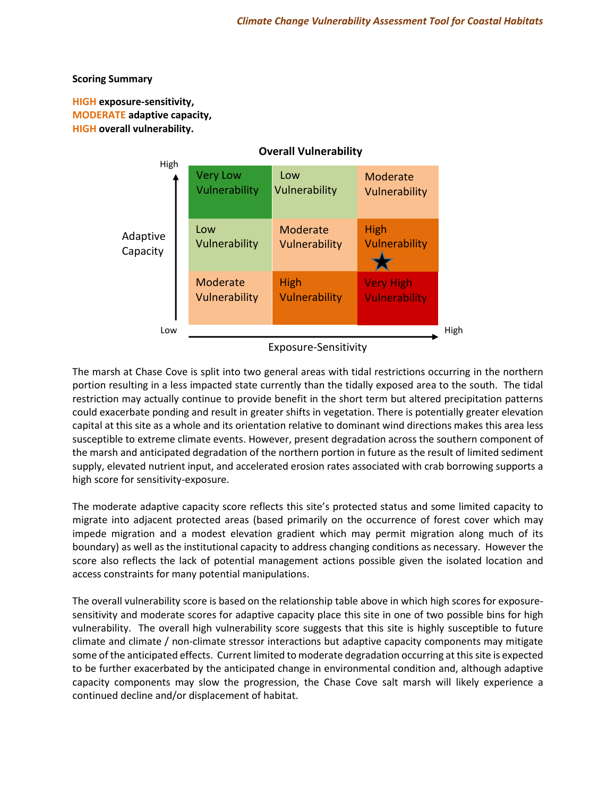## **Scoring Summary**

**HIGH exposure‐sensitivity, MODERATE adaptive capacity, HIGH overall vulnerability.**



The marsh at Chase Cove is split into two general areas with tidal restrictions occurring in the northern portion resulting in a less impacted state currently than the tidally exposed area to the south. The tidal restriction may actually continue to provide benefit in the short term but altered precipitation patterns could exacerbate ponding and result in greater shifts in vegetation. There is potentially greater elevation capital at this site as a whole and its orientation relative to dominant wind directions makes this area less susceptible to extreme climate events. However, present degradation across the southern component of the marsh and anticipated degradation of the northern portion in future as the result of limited sediment supply, elevated nutrient input, and accelerated erosion rates associated with crab borrowing supports a high score for sensitivity-exposure.

The moderate adaptive capacity score reflects this site's protected status and some limited capacity to migrate into adjacent protected areas (based primarily on the occurrence of forest cover which may impede migration and a modest elevation gradient which may permit migration along much of its boundary) as well as the institutional capacity to address changing conditions as necessary. However the score also reflects the lack of potential management actions possible given the isolated location and access constraints for many potential manipulations.

The overall vulnerability score is based on the relationship table above in which high scores for exposuresensitivity and moderate scores for adaptive capacity place this site in one of two possible bins for high vulnerability. The overall high vulnerability score suggests that this site is highly susceptible to future climate and climate / non-climate stressor interactions but adaptive capacity components may mitigate some of the anticipated effects. Current limited to moderate degradation occurring at this site is expected to be further exacerbated by the anticipated change in environmental condition and, although adaptive capacity components may slow the progression, the Chase Cove salt marsh will likely experience a continued decline and/or displacement of habitat.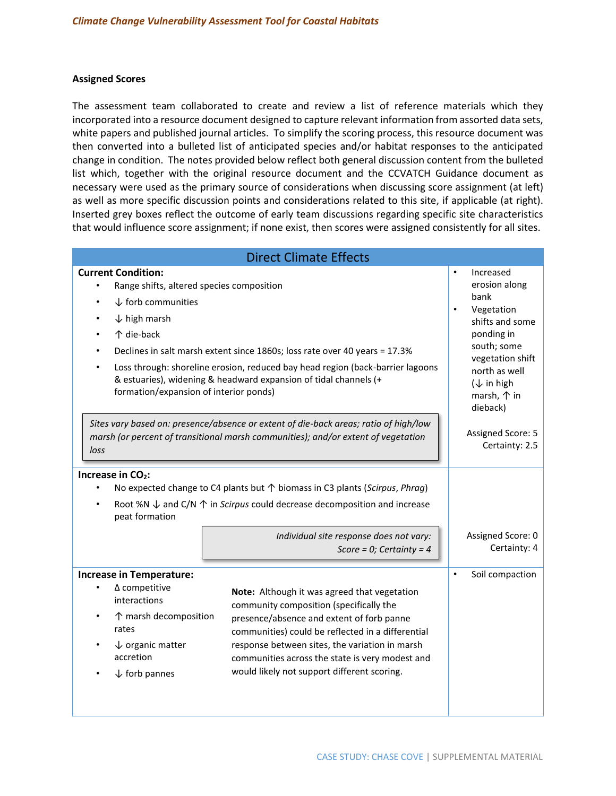### **Assigned Scores**

The assessment team collaborated to create and review a list of reference materials which they incorporated into a resource document designed to capture relevant information from assorted data sets, white papers and published journal articles. To simplify the scoring process, this resource document was then converted into a bulleted list of anticipated species and/or habitat responses to the anticipated change in condition. The notes provided below reflect both general discussion content from the bulleted list which, together with the original resource document and the CCVATCH Guidance document as necessary were used as the primary source of considerations when discussing score assignment (at left) as well as more specific discussion points and considerations related to this site, if applicable (at right). Inserted grey boxes reflect the outcome of early team discussions regarding specific site characteristics that would influence score assignment; if none exist, then scores were assigned consistently for all sites.

| <b>Direct Climate Effects</b>                                                                                                                                                                                                                                                                                                                                                                                                                                                                                                      |                                                                                                                                                                                                                              |  |  |  |
|------------------------------------------------------------------------------------------------------------------------------------------------------------------------------------------------------------------------------------------------------------------------------------------------------------------------------------------------------------------------------------------------------------------------------------------------------------------------------------------------------------------------------------|------------------------------------------------------------------------------------------------------------------------------------------------------------------------------------------------------------------------------|--|--|--|
| <b>Current Condition:</b><br>Range shifts, altered species composition<br>$\downarrow$ forb communities<br>$\bullet$<br>$\downarrow$ high marsh<br>个 die-back<br>Declines in salt marsh extent since 1860s; loss rate over 40 years = 17.3%<br>Loss through: shoreline erosion, reduced bay head region (back-barrier lagoons<br>& estuaries), widening & headward expansion of tidal channels (+<br>formation/expansion of interior ponds)                                                                                        | $\bullet$<br>Increased<br>erosion along<br>bank<br>$\bullet$<br>Vegetation<br>shifts and some<br>ponding in<br>south; some<br>vegetation shift<br>north as well<br>$(\downarrow$ in high<br>marsh, $\uparrow$ in<br>dieback) |  |  |  |
| Sites vary based on: presence/absence or extent of die-back areas; ratio of high/low<br>marsh (or percent of transitional marsh communities); and/or extent of vegetation<br>loss                                                                                                                                                                                                                                                                                                                                                  | Assigned Score: 5<br>Certainty: 2.5                                                                                                                                                                                          |  |  |  |
| Increase in CO <sub>2</sub> :<br>No expected change to C4 plants but $\uparrow$ biomass in C3 plants (Scirpus, Phrag)<br>Root %N $\downarrow$ and C/N $\uparrow$ in Scirpus could decrease decomposition and increase<br>peat formation<br>Individual site response does not vary:<br>Score = 0; Certainty = $4$                                                                                                                                                                                                                   | Assigned Score: 0<br>Certainty: 4                                                                                                                                                                                            |  |  |  |
| <b>Increase in Temperature:</b><br>$\Delta$ competitive<br>Note: Although it was agreed that vegetation<br>interactions<br>community composition (specifically the<br>↑ marsh decomposition<br>presence/absence and extent of forb panne<br>rates<br>communities) could be reflected in a differential<br>$\downarrow$ organic matter<br>response between sites, the variation in marsh<br>accretion<br>communities across the state is very modest and<br>would likely not support different scoring.<br>$\downarrow$ forb pannes | Soil compaction<br>$\bullet$                                                                                                                                                                                                 |  |  |  |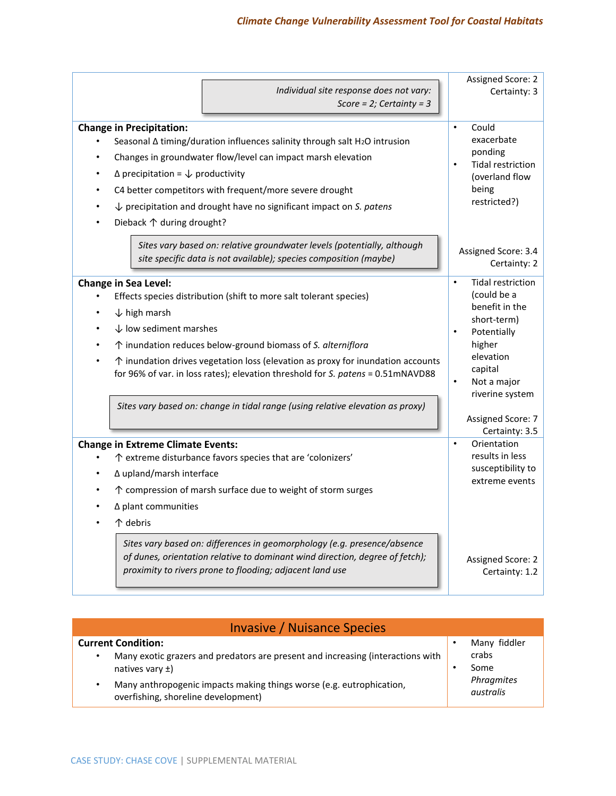| Score = $2$ ; Certainty = 3                                                                                                                                                                                                                                                                                                                                                                                                                                                                        |                                                                                                                                                                                                                         |
|----------------------------------------------------------------------------------------------------------------------------------------------------------------------------------------------------------------------------------------------------------------------------------------------------------------------------------------------------------------------------------------------------------------------------------------------------------------------------------------------------|-------------------------------------------------------------------------------------------------------------------------------------------------------------------------------------------------------------------------|
| <b>Change in Precipitation:</b><br>Seasonal $\Delta$ timing/duration influences salinity through salt H <sub>2</sub> O intrusion<br>Changes in groundwater flow/level can impact marsh elevation<br>$\Delta$ precipitation = $\downarrow$ productivity<br>C4 better competitors with frequent/more severe drought<br>$\downarrow$ precipitation and drought have no significant impact on S. patens<br>Dieback 个 during drought?                                                                   | Could<br>$\bullet$<br>exacerbate<br>ponding<br><b>Tidal restriction</b><br>$\bullet$<br>(overland flow<br>being<br>restricted?)                                                                                         |
| Sites vary based on: relative groundwater levels (potentially, although<br>site specific data is not available); species composition (maybe)                                                                                                                                                                                                                                                                                                                                                       | Assigned Score: 3.4<br>Certainty: 2                                                                                                                                                                                     |
| <b>Change in Sea Level:</b><br>Effects species distribution (shift to more salt tolerant species)<br>$\downarrow$ high marsh<br>$\downarrow$ low sediment marshes<br>↑ inundation reduces below-ground biomass of S. alterniflora<br>$\uparrow$ inundation drives vegetation loss (elevation as proxy for inundation accounts<br>for 96% of var. in loss rates); elevation threshold for S. patens = 0.51mNAVD88<br>Sites vary based on: change in tidal range (using relative elevation as proxy) | <b>Tidal restriction</b><br>$\bullet$<br>(could be a<br>benefit in the<br>short-term)<br>Potentially<br>$\bullet$<br>higher<br>elevation<br>capital<br>Not a major<br>$\bullet$<br>riverine system<br>Assigned Score: 7 |
| <b>Change in Extreme Climate Events:</b><br>↑ extreme disturbance favors species that are 'colonizers'<br>∆ upland/marsh interface<br>↑ compression of marsh surface due to weight of storm surges<br>$\Delta$ plant communities<br>个 debris<br>Sites vary based on: differences in geomorphology (e.g. presence/absence<br>of dunes, orientation relative to dominant wind direction, degree of fetch);<br>proximity to rivers prone to flooding; adjacent land use                               | Certainty: 3.5<br>$\bullet$<br>Orientation<br>results in less<br>susceptibility to<br>extreme events<br>Assigned Score: 2<br>Certainty: 1.2                                                                             |

| <b>Invasive / Nuisance Species</b>                                                                                                                                                                                                                       |  |                                                          |  |
|----------------------------------------------------------------------------------------------------------------------------------------------------------------------------------------------------------------------------------------------------------|--|----------------------------------------------------------|--|
| <b>Current Condition:</b><br>Many exotic grazers and predators are present and increasing (interactions with<br>٠<br>natives vary $\pm$ )<br>Many anthropogenic impacts making things worse (e.g. eutrophication,<br>overfishing, shoreline development) |  | Many fiddler<br>crabs<br>Some<br>Phragmites<br>australis |  |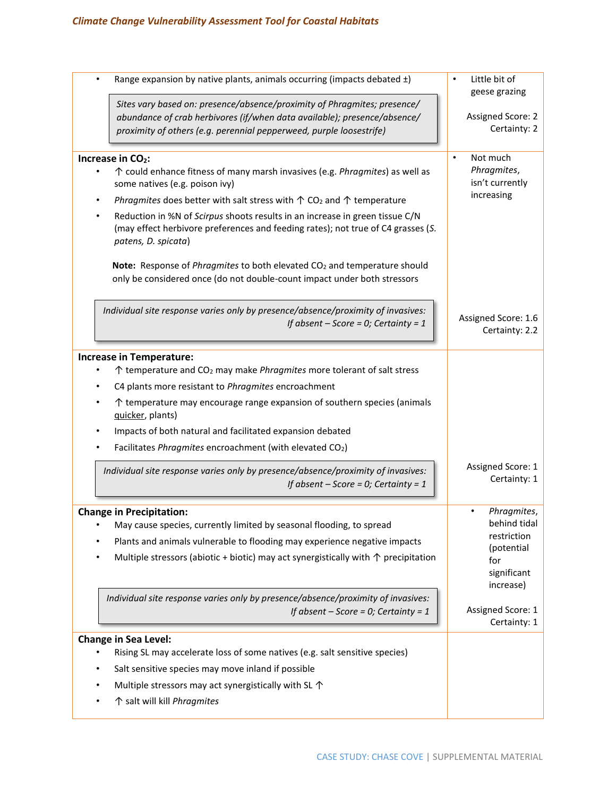| Range expansion by native plants, animals occurring (impacts debated ±)                                                                                                                                                                                                                                                                                                                                                                                                                                                                                                                                                           | Little bit of<br>$\bullet$<br>geese grazing                                                                                      |
|-----------------------------------------------------------------------------------------------------------------------------------------------------------------------------------------------------------------------------------------------------------------------------------------------------------------------------------------------------------------------------------------------------------------------------------------------------------------------------------------------------------------------------------------------------------------------------------------------------------------------------------|----------------------------------------------------------------------------------------------------------------------------------|
| Sites vary based on: presence/absence/proximity of Phragmites; presence/<br>abundance of crab herbivores (if/when data available); presence/absence/<br>proximity of others (e.g. perennial pepperweed, purple loosestrife)                                                                                                                                                                                                                                                                                                                                                                                                       | Assigned Score: 2<br>Certainty: 2                                                                                                |
| Increase in CO <sub>2</sub> :<br>↑ could enhance fitness of many marsh invasives (e.g. Phragmites) as well as<br>some natives (e.g. poison ivy)<br>Phragmites does better with salt stress with $\uparrow$ CO <sub>2</sub> and $\uparrow$ temperature<br>$\bullet$<br>Reduction in %N of Scirpus shoots results in an increase in green tissue C/N<br>(may effect herbivore preferences and feeding rates); not true of C4 grasses (S.<br>patens, D. spicata)<br>Note: Response of Phragmites to both elevated CO <sub>2</sub> and temperature should<br>only be considered once (do not double-count impact under both stressors | Not much<br>$\bullet$<br>Phragmites,<br>isn't currently<br>increasing                                                            |
| Individual site response varies only by presence/absence/proximity of invasives:<br>If absent $-$ Score = 0; Certainty = 1                                                                                                                                                                                                                                                                                                                                                                                                                                                                                                        | Assigned Score: 1.6<br>Certainty: 2.2                                                                                            |
| <b>Increase in Temperature:</b><br>↑ temperature and CO <sub>2</sub> may make <i>Phragmites</i> more tolerant of salt stress<br>C4 plants more resistant to Phragmites encroachment<br>↑ temperature may encourage range expansion of southern species (animals<br>quicker, plants)<br>Impacts of both natural and facilitated expansion debated<br>$\bullet$<br>Facilitates Phragmites encroachment (with elevated CO2)<br>Individual site response varies only by presence/absence/proximity of invasives:<br>If absent $-$ Score = 0; Certainty = 1                                                                            | Assigned Score: 1<br>Certainty: 1                                                                                                |
| <b>Change in Precipitation:</b><br>May cause species, currently limited by seasonal flooding, to spread<br>Plants and animals vulnerable to flooding may experience negative impacts<br>Multiple stressors (abiotic + biotic) may act synergistically with $\uparrow$ precipitation<br>Individual site response varies only by presence/absence/proximity of invasives:<br>If absent $-$ Score = 0; Certainty = 1                                                                                                                                                                                                                 | Phragmites,<br>behind tidal<br>restriction<br>(potential<br>for<br>significant<br>increase)<br>Assigned Score: 1<br>Certainty: 1 |
| <b>Change in Sea Level:</b><br>Rising SL may accelerate loss of some natives (e.g. salt sensitive species)<br>Salt sensitive species may move inland if possible<br>Multiple stressors may act synergistically with SL $\uparrow$<br>↑ salt will kill Phragmites                                                                                                                                                                                                                                                                                                                                                                  |                                                                                                                                  |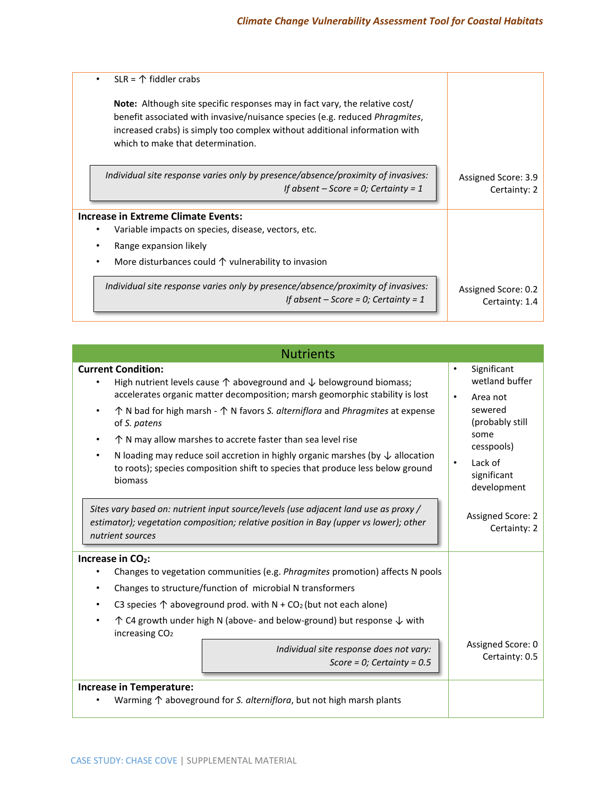| $SLR = \mathcal{D}$ fiddler crabs<br>٠                                                                                                                                                                                                                                                       |                                       |
|----------------------------------------------------------------------------------------------------------------------------------------------------------------------------------------------------------------------------------------------------------------------------------------------|---------------------------------------|
| <b>Note:</b> Although site specific responses may in fact vary, the relative cost/<br>benefit associated with invasive/nuisance species (e.g. reduced <i>Phragmites</i> ,<br>increased crabs) is simply too complex without additional information with<br>which to make that determination. |                                       |
| Individual site response varies only by presence/absence/proximity of invasives:<br>If absent $-$ Score = 0; Certainty = 1                                                                                                                                                                   | Assigned Score: 3.9<br>Certainty: 2   |
| Increase in Extreme Climate Events:                                                                                                                                                                                                                                                          |                                       |
| Variable impacts on species, disease, vectors, etc.                                                                                                                                                                                                                                          |                                       |
| Range expansion likely                                                                                                                                                                                                                                                                       |                                       |
| More disturbances could $\uparrow$ vulnerability to invasion                                                                                                                                                                                                                                 |                                       |
| Individual site response varies only by presence/absence/proximity of invasives:<br>If absent $-$ Score = 0; Certainty = 1                                                                                                                                                                   | Assigned Score: 0.2<br>Certainty: 1.4 |

| <b>Nutrients</b>                                                                                                                                                                                                                                                                                                                                                                                                                                                                                                                                                                                                         |                                                                                                                                                                               |
|--------------------------------------------------------------------------------------------------------------------------------------------------------------------------------------------------------------------------------------------------------------------------------------------------------------------------------------------------------------------------------------------------------------------------------------------------------------------------------------------------------------------------------------------------------------------------------------------------------------------------|-------------------------------------------------------------------------------------------------------------------------------------------------------------------------------|
| <b>Current Condition:</b><br>High nutrient levels cause $\uparrow$ aboveground and $\downarrow$ belowground biomass;<br>٠<br>accelerates organic matter decomposition; marsh geomorphic stability is lost<br>$\uparrow$ N bad for high marsh - $\uparrow$ N favors S. alterniflora and Phragmites at expense<br>$\bullet$<br>of S. patens<br>$\uparrow$ N may allow marshes to accrete faster than sea level rise<br>N loading may reduce soil accretion in highly organic marshes (by $\downarrow$ allocation<br>$\bullet$<br>to roots); species composition shift to species that produce less below ground<br>biomass | Significant<br>$\bullet$<br>wetland buffer<br>$\bullet$<br>Area not<br>sewered<br>(probably still<br>some<br>cesspools)<br>Lack of<br>$\bullet$<br>significant<br>development |
| Sites vary based on: nutrient input source/levels (use adjacent land use as proxy /<br>estimator); vegetation composition; relative position in Bay (upper vs lower); other<br>nutrient sources                                                                                                                                                                                                                                                                                                                                                                                                                          | Assigned Score: 2<br>Certainty: 2                                                                                                                                             |
| Increase in CO <sub>2</sub> :<br>Changes to vegetation communities (e.g. Phragmites promotion) affects N pools<br>٠<br>Changes to structure/function of microbial N transformers<br>$\bullet$<br>C3 species $\uparrow$ aboveground prod. with N + CO <sub>2</sub> (but not each alone)<br>٠<br>$\uparrow$ C4 growth under high N (above- and below-ground) but response $\downarrow$ with<br>$\bullet$<br>increasing $CO2$<br>Individual site response does not vary:<br>Score = $0$ ; Certainty = 0.5<br><b>Increase in Temperature:</b>                                                                                | Assigned Score: 0<br>Certainty: 0.5                                                                                                                                           |
| Warming $\uparrow$ aboveground for S. alterniflora, but not high marsh plants                                                                                                                                                                                                                                                                                                                                                                                                                                                                                                                                            |                                                                                                                                                                               |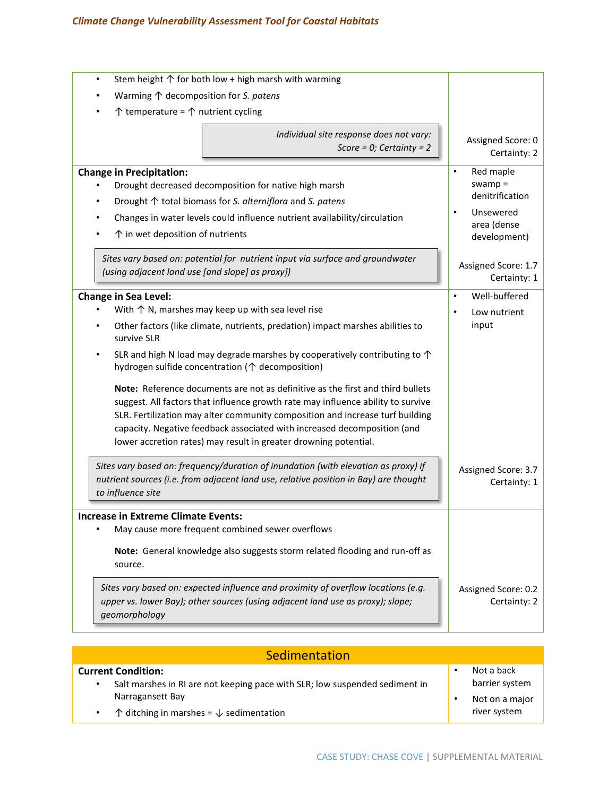# *Climate Change Vulnerability Assessment Tool for Coastal Habitats*

| Stem height $\uparrow$ for both low + high marsh with warming<br>$\bullet$                                                                                                                                                                                                                                                                                                                                                                                                                                                                                                                                                                                                                                                                                                                                                                                                                                                                      |                                                                                                                 |
|-------------------------------------------------------------------------------------------------------------------------------------------------------------------------------------------------------------------------------------------------------------------------------------------------------------------------------------------------------------------------------------------------------------------------------------------------------------------------------------------------------------------------------------------------------------------------------------------------------------------------------------------------------------------------------------------------------------------------------------------------------------------------------------------------------------------------------------------------------------------------------------------------------------------------------------------------|-----------------------------------------------------------------------------------------------------------------|
| Warming $\uparrow$ decomposition for S. patens                                                                                                                                                                                                                                                                                                                                                                                                                                                                                                                                                                                                                                                                                                                                                                                                                                                                                                  |                                                                                                                 |
| $\uparrow$ temperature = $\uparrow$ nutrient cycling                                                                                                                                                                                                                                                                                                                                                                                                                                                                                                                                                                                                                                                                                                                                                                                                                                                                                            |                                                                                                                 |
| Individual site response does not vary:<br>Score = $0$ ; Certainty = 2                                                                                                                                                                                                                                                                                                                                                                                                                                                                                                                                                                                                                                                                                                                                                                                                                                                                          | Assigned Score: 0<br>Certainty: 2                                                                               |
| <b>Change in Precipitation:</b><br>Drought decreased decomposition for native high marsh<br>Drought ↑ total biomass for S. alterniflora and S. patens<br>Changes in water levels could influence nutrient availability/circulation<br>$\uparrow$ in wet deposition of nutrients                                                                                                                                                                                                                                                                                                                                                                                                                                                                                                                                                                                                                                                                 | Red maple<br>$\bullet$<br>$swamp =$<br>denitrification<br>Unsewered<br>$\bullet$<br>area (dense<br>development) |
| Sites vary based on: potential for nutrient input via surface and groundwater<br>(using adjacent land use [and slope] as proxy])                                                                                                                                                                                                                                                                                                                                                                                                                                                                                                                                                                                                                                                                                                                                                                                                                | Assigned Score: 1.7<br>Certainty: 1                                                                             |
| <b>Change in Sea Level:</b><br>With $\uparrow$ N, marshes may keep up with sea level rise<br>Other factors (like climate, nutrients, predation) impact marshes abilities to<br>survive SLR<br>SLR and high N load may degrade marshes by cooperatively contributing to $\uparrow$<br>hydrogen sulfide concentration (个 decomposition)<br>Note: Reference documents are not as definitive as the first and third bullets<br>suggest. All factors that influence growth rate may influence ability to survive<br>SLR. Fertilization may alter community composition and increase turf building<br>capacity. Negative feedback associated with increased decomposition (and<br>lower accretion rates) may result in greater drowning potential.<br>Sites vary based on: frequency/duration of inundation (with elevation as proxy) if<br>nutrient sources (i.e. from adjacent land use, relative position in Bay) are thought<br>to influence site | Well-buffered<br>$\bullet$<br>Low nutrient<br>$\bullet$<br>input<br>Assigned Score: 3.7<br>Certainty: 1         |
| <b>Increase in Extreme Climate Events:</b><br>May cause more frequent combined sewer overflows                                                                                                                                                                                                                                                                                                                                                                                                                                                                                                                                                                                                                                                                                                                                                                                                                                                  |                                                                                                                 |
| Note: General knowledge also suggests storm related flooding and run-off as<br>source.<br>Sites vary based on: expected influence and proximity of overflow locations (e.g.<br>upper vs. lower Bay); other sources (using adjacent land use as proxy); slope;<br>geomorphology                                                                                                                                                                                                                                                                                                                                                                                                                                                                                                                                                                                                                                                                  | Assigned Score: 0.2<br>Certainty: 2                                                                             |
|                                                                                                                                                                                                                                                                                                                                                                                                                                                                                                                                                                                                                                                                                                                                                                                                                                                                                                                                                 |                                                                                                                 |

| Sedimentation                                                                                                 |  |                                |  |
|---------------------------------------------------------------------------------------------------------------|--|--------------------------------|--|
| <b>Current Condition:</b><br>Salt marshes in RI are not keeping pace with SLR; low suspended sediment in<br>٠ |  | Not a back<br>barrier system   |  |
| Narragansett Bay<br>$\uparrow$ ditching in marshes = $\downarrow$ sedimentation                               |  | Not on a major<br>river system |  |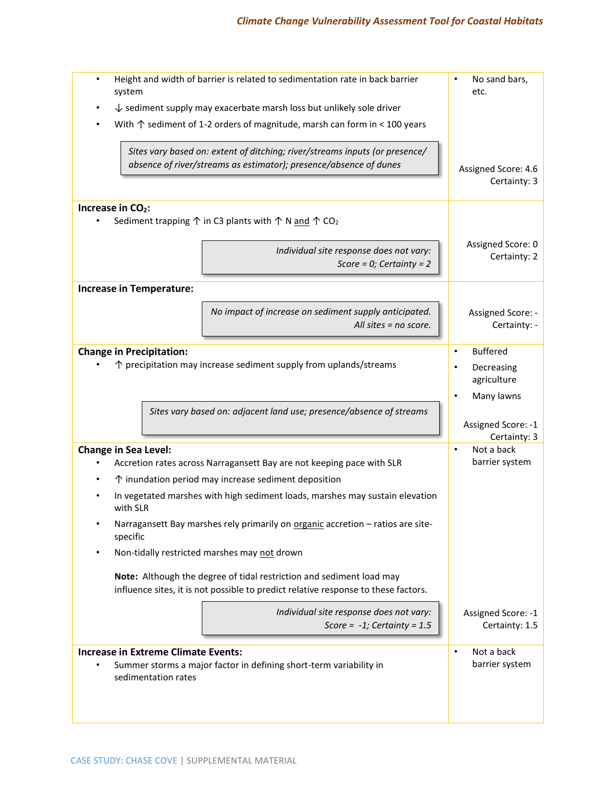# *Climate Change Vulnerability Assessment Tool for Coastal Habitats*

| system                                                                          | Height and width of barrier is related to sedimentation rate in back barrier                                                                               | No sand bars,<br>etc.                |
|---------------------------------------------------------------------------------|------------------------------------------------------------------------------------------------------------------------------------------------------------|--------------------------------------|
| $\downarrow$ sediment supply may exacerbate marsh loss but unlikely sole driver |                                                                                                                                                            |                                      |
|                                                                                 | With $\uparrow$ sediment of 1-2 orders of magnitude, marsh can form in < 100 years                                                                         |                                      |
|                                                                                 | Sites vary based on: extent of ditching; river/streams inputs (or presence/<br>absence of river/streams as estimator); presence/absence of dunes           | Assigned Score: 4.6                  |
|                                                                                 |                                                                                                                                                            | Certainty: 3                         |
| Increase in CO <sub>2</sub> :                                                   | Sediment trapping $\uparrow$ in C3 plants with $\uparrow \uparrow$ N and $\uparrow$ CO <sub>2</sub>                                                        |                                      |
|                                                                                 | Individual site response does not vary:<br>Score = $0$ ; Certainty = 2                                                                                     | Assigned Score: 0<br>Certainty: 2    |
| <b>Increase in Temperature:</b>                                                 |                                                                                                                                                            |                                      |
|                                                                                 | No impact of increase on sediment supply anticipated.<br>All sites $=$ no score.                                                                           | Assigned Score: -<br>Certainty: -    |
| <b>Change in Precipitation:</b>                                                 |                                                                                                                                                            | <b>Buffered</b>                      |
|                                                                                 | $\uparrow$ precipitation may increase sediment supply from uplands/streams                                                                                 | Decreasing<br>agriculture            |
|                                                                                 |                                                                                                                                                            | Many lawns                           |
|                                                                                 | Sites vary based on: adjacent land use; presence/absence of streams                                                                                        | Assigned Score: -1<br>Certainty: 3   |
| <b>Change in Sea Level:</b>                                                     |                                                                                                                                                            | Not a back<br>$\bullet$              |
|                                                                                 | Accretion rates across Narragansett Bay are not keeping pace with SLR                                                                                      | barrier system                       |
|                                                                                 | ↑ inundation period may increase sediment deposition                                                                                                       |                                      |
| with SLR                                                                        | In vegetated marshes with high sediment loads, marshes may sustain elevation                                                                               |                                      |
| $\bullet$<br>specific                                                           | Narragansett Bay marshes rely primarily on organic accretion - ratios are site-                                                                            |                                      |
| ٠                                                                               | Non-tidally restricted marshes may not drown                                                                                                               |                                      |
|                                                                                 | Note: Although the degree of tidal restriction and sediment load may<br>influence sites, it is not possible to predict relative response to these factors. |                                      |
|                                                                                 | Individual site response does not vary:<br>Score = $-1$ ; Certainty = 1.5                                                                                  | Assigned Score: -1<br>Certainty: 1.5 |
| <b>Increase in Extreme Climate Events:</b>                                      |                                                                                                                                                            | Not a back<br>$\bullet$              |
| sedimentation rates                                                             | Summer storms a major factor in defining short-term variability in                                                                                         | barrier system                       |
|                                                                                 |                                                                                                                                                            |                                      |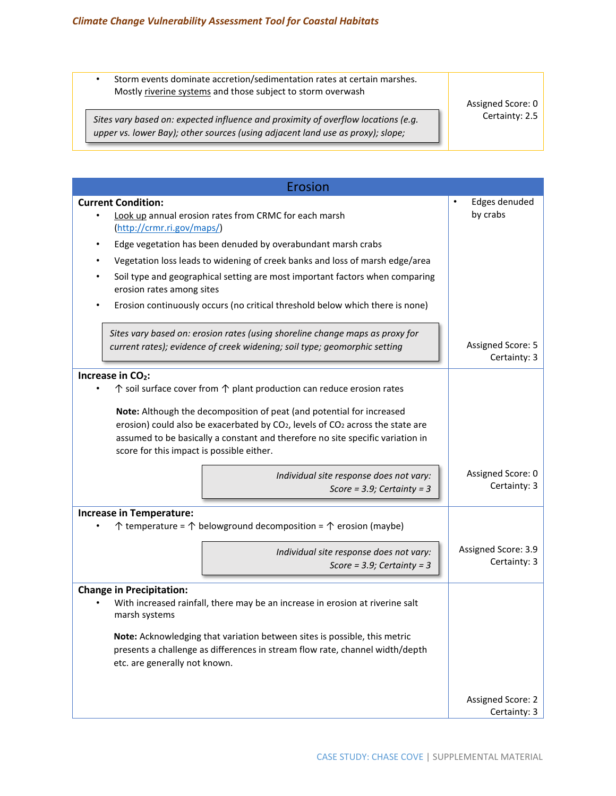*geomorphology*

• Storm events dominate accretion/sedimentation rates at certain marshes. Mostly riverine systems and those subject to storm overwash

*Sites vary based on: expected influence and proximity of overflow locations (e.g. upper vs. lower Bay); other sources (using adjacent land use as proxy); slope;* 

Assigned Score: 0 Certainty: 2.5

| Erosion                                                                                                                                                                                                                                                                                                        |                                        |  |  |
|----------------------------------------------------------------------------------------------------------------------------------------------------------------------------------------------------------------------------------------------------------------------------------------------------------------|----------------------------------------|--|--|
| <b>Current Condition:</b><br>Look up annual erosion rates from CRMC for each marsh<br>(http://crmr.ri.gov/maps/)                                                                                                                                                                                               | Edges denuded<br>$\bullet$<br>by crabs |  |  |
| Edge vegetation has been denuded by overabundant marsh crabs<br>٠                                                                                                                                                                                                                                              |                                        |  |  |
| Vegetation loss leads to widening of creek banks and loss of marsh edge/area                                                                                                                                                                                                                                   |                                        |  |  |
| Soil type and geographical setting are most important factors when comparing<br>٠<br>erosion rates among sites                                                                                                                                                                                                 |                                        |  |  |
| Erosion continuously occurs (no critical threshold below which there is none)                                                                                                                                                                                                                                  |                                        |  |  |
| Sites vary based on: erosion rates (using shoreline change maps as proxy for<br>current rates); evidence of creek widening; soil type; geomorphic setting                                                                                                                                                      | Assigned Score: 5<br>Certainty: 3      |  |  |
| Increase in CO <sub>2</sub> :                                                                                                                                                                                                                                                                                  |                                        |  |  |
| $\uparrow$ soil surface cover from $\uparrow$ plant production can reduce erosion rates                                                                                                                                                                                                                        |                                        |  |  |
| Note: Although the decomposition of peat (and potential for increased<br>erosion) could also be exacerbated by CO <sub>2</sub> , levels of CO <sub>2</sub> across the state are<br>assumed to be basically a constant and therefore no site specific variation in<br>score for this impact is possible either. |                                        |  |  |
| Individual site response does not vary:<br>Score = $3.9$ ; Certainty = $3$                                                                                                                                                                                                                                     | Assigned Score: 0<br>Certainty: 3      |  |  |
| <b>Increase in Temperature:</b>                                                                                                                                                                                                                                                                                |                                        |  |  |
| $\uparrow$ temperature = $\uparrow$ belowground decomposition = $\uparrow$ erosion (maybe)                                                                                                                                                                                                                     |                                        |  |  |
| Individual site response does not vary:<br>Score = $3.9$ ; Certainty = $3$                                                                                                                                                                                                                                     | Assigned Score: 3.9<br>Certainty: 3    |  |  |
| <b>Change in Precipitation:</b>                                                                                                                                                                                                                                                                                |                                        |  |  |
| With increased rainfall, there may be an increase in erosion at riverine salt<br>marsh systems                                                                                                                                                                                                                 |                                        |  |  |
| Note: Acknowledging that variation between sites is possible, this metric<br>presents a challenge as differences in stream flow rate, channel width/depth<br>etc. are generally not known.                                                                                                                     |                                        |  |  |
|                                                                                                                                                                                                                                                                                                                | Assigned Score: 2<br>Certainty: 3      |  |  |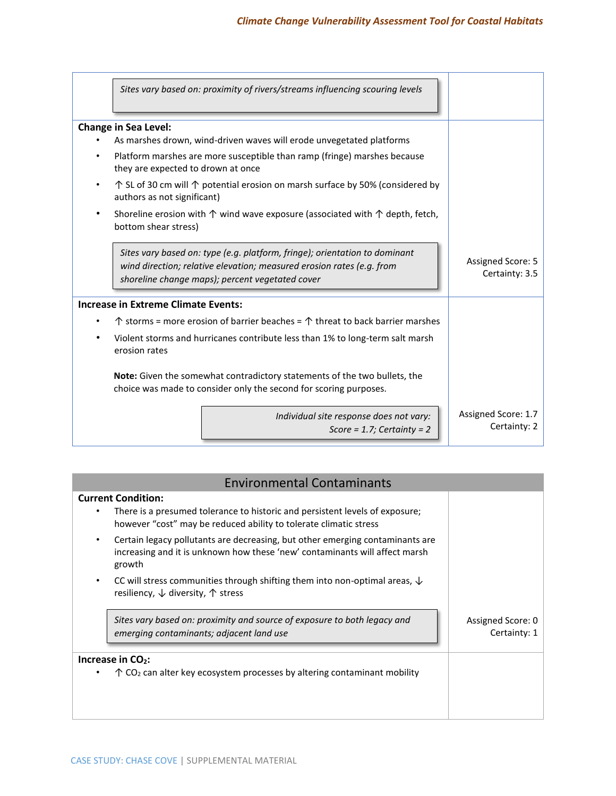|                                            | Sites vary based on: proximity of rivers/streams influencing scouring levels                                                                                                                           |  |                                     |  |
|--------------------------------------------|--------------------------------------------------------------------------------------------------------------------------------------------------------------------------------------------------------|--|-------------------------------------|--|
| <b>Change in Sea Level:</b>                |                                                                                                                                                                                                        |  |                                     |  |
|                                            | As marshes drown, wind-driven waves will erode unvegetated platforms                                                                                                                                   |  |                                     |  |
| they are expected to drown at once         | Platform marshes are more susceptible than ramp (fringe) marshes because                                                                                                                               |  |                                     |  |
| authors as not significant)                | $\uparrow$ SL of 30 cm will $\uparrow$ potential erosion on marsh surface by 50% (considered by                                                                                                        |  |                                     |  |
| bottom shear stress)                       | Shoreline erosion with $\uparrow$ wind wave exposure (associated with $\uparrow$ depth, fetch,                                                                                                         |  |                                     |  |
|                                            | Sites vary based on: type (e.g. platform, fringe); orientation to dominant<br>wind direction; relative elevation; measured erosion rates (e.g. from<br>shoreline change maps); percent vegetated cover |  | Assigned Score: 5<br>Certainty: 3.5 |  |
| <b>Increase in Extreme Climate Events:</b> |                                                                                                                                                                                                        |  |                                     |  |
|                                            | $\uparrow$ storms = more erosion of barrier beaches = $\uparrow$ threat to back barrier marshes                                                                                                        |  |                                     |  |
| erosion rates                              | Violent storms and hurricanes contribute less than 1% to long-term salt marsh                                                                                                                          |  |                                     |  |
|                                            | <b>Note:</b> Given the somewhat contradictory statements of the two bullets, the<br>choice was made to consider only the second for scoring purposes.                                                  |  |                                     |  |
|                                            | Individual site response does not vary:<br>Score = $1.7$ ; Certainty = $2$                                                                                                                             |  | Assigned Score: 1.7<br>Certainty: 2 |  |

| <b>Environmental Contaminants</b>                                                                                                                                              |                                   |  |  |
|--------------------------------------------------------------------------------------------------------------------------------------------------------------------------------|-----------------------------------|--|--|
| <b>Current Condition:</b><br>There is a presumed tolerance to historic and persistent levels of exposure;<br>however "cost" may be reduced ability to tolerate climatic stress |                                   |  |  |
| Certain legacy pollutants are decreasing, but other emerging contaminants are<br>increasing and it is unknown how these 'new' contaminants will affect marsh<br>growth         |                                   |  |  |
| CC will stress communities through shifting them into non-optimal areas, $\downarrow$<br>resiliency, $\downarrow$ diversity, $\uparrow$ stress                                 |                                   |  |  |
| Sites vary based on: proximity and source of exposure to both legacy and<br>emerging contaminants; adjacent land use                                                           | Assigned Score: 0<br>Certainty: 1 |  |  |
| Increase in CO2:                                                                                                                                                               |                                   |  |  |
| $\uparrow$ CO <sub>2</sub> can alter key ecosystem processes by altering contaminant mobility                                                                                  |                                   |  |  |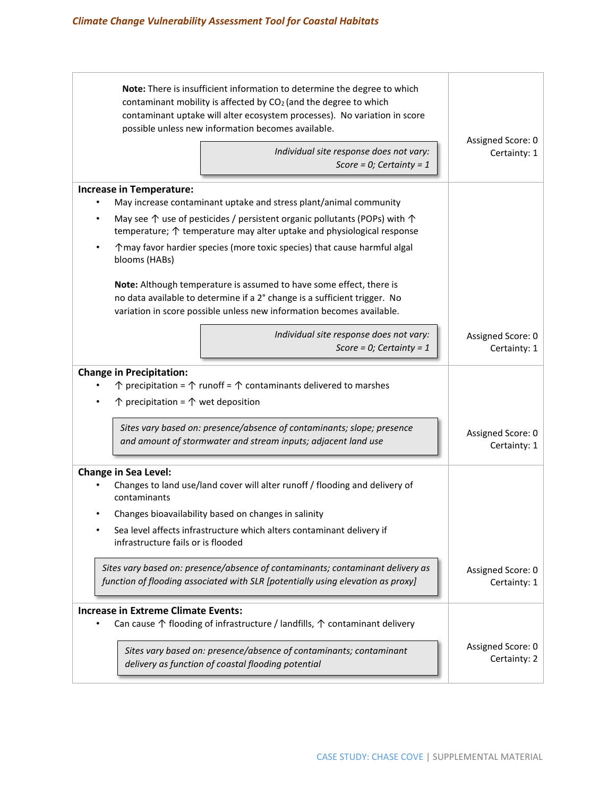| Note: There is insufficient information to determine the degree to which<br>contaminant mobility is affected by CO <sub>2</sub> (and the degree to which<br>contaminant uptake will alter ecosystem processes). No variation in score<br>possible unless new information becomes available. |                                   |  |  |  |  |  |
|---------------------------------------------------------------------------------------------------------------------------------------------------------------------------------------------------------------------------------------------------------------------------------------------|-----------------------------------|--|--|--|--|--|
| Individual site response does not vary:<br>Score = $0$ ; Certainty = 1                                                                                                                                                                                                                      | Assigned Score: 0<br>Certainty: 1 |  |  |  |  |  |
| <b>Increase in Temperature:</b><br>May increase contaminant uptake and stress plant/animal community                                                                                                                                                                                        |                                   |  |  |  |  |  |
| May see $\uparrow$ use of pesticides / persistent organic pollutants (POPs) with $\uparrow$<br>temperature; ↑ temperature may alter uptake and physiological response                                                                                                                       |                                   |  |  |  |  |  |
| ↑ may favor hardier species (more toxic species) that cause harmful algal<br>$\bullet$<br>blooms (HABs)                                                                                                                                                                                     |                                   |  |  |  |  |  |
| Note: Although temperature is assumed to have some effect, there is<br>no data available to determine if a 2° change is a sufficient trigger. No<br>variation in score possible unless new information becomes available.                                                                   |                                   |  |  |  |  |  |
| Individual site response does not vary:<br>Score = $0$ ; Certainty = 1                                                                                                                                                                                                                      | Assigned Score: 0<br>Certainty: 1 |  |  |  |  |  |
| <b>Change in Precipitation:</b><br>$\uparrow$ precipitation = $\uparrow$ runoff = $\uparrow$ contaminants delivered to marshes<br>$\uparrow$ precipitation = $\uparrow$ wet deposition                                                                                                      |                                   |  |  |  |  |  |
| Sites vary based on: presence/absence of contaminants; slope; presence<br>Assigned Score: 0<br>and amount of stormwater and stream inputs; adjacent land use<br>Certainty: 1                                                                                                                |                                   |  |  |  |  |  |
| <b>Change in Sea Level:</b><br>Changes to land use/land cover will alter runoff / flooding and delivery of<br>contaminants                                                                                                                                                                  |                                   |  |  |  |  |  |
| Changes bioavailability based on changes in salinity<br>Sea level affects infrastructure which alters contaminant delivery if<br>infrastructure fails or is flooded                                                                                                                         |                                   |  |  |  |  |  |
| Sites vary based on: presence/absence of contaminants; contaminant delivery as<br>function of flooding associated with SLR [potentially using elevation as proxy]                                                                                                                           | Assigned Score: 0<br>Certainty: 1 |  |  |  |  |  |
| <b>Increase in Extreme Climate Events:</b><br>Can cause $\uparrow$ flooding of infrastructure / landfills, $\uparrow$ contaminant delivery                                                                                                                                                  |                                   |  |  |  |  |  |
| Sites vary based on: presence/absence of contaminants; contaminant<br>delivery as function of coastal flooding potential                                                                                                                                                                    | Assigned Score: 0<br>Certainty: 2 |  |  |  |  |  |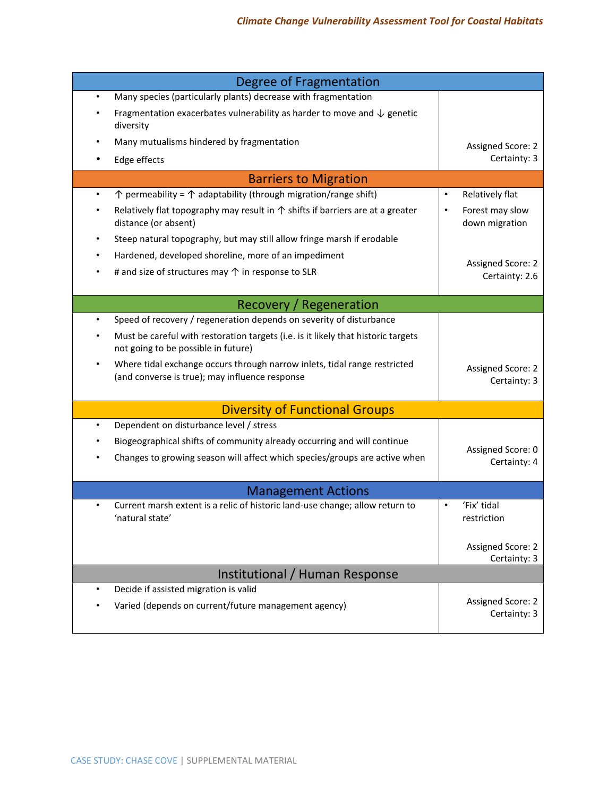| Degree of Fragmentation                                                                                                                  |                                            |  |
|------------------------------------------------------------------------------------------------------------------------------------------|--------------------------------------------|--|
| Many species (particularly plants) decrease with fragmentation<br>$\bullet$                                                              |                                            |  |
| Fragmentation exacerbates vulnerability as harder to move and $\downarrow$ genetic<br>diversity                                          |                                            |  |
| Many mutualisms hindered by fragmentation                                                                                                | Assigned Score: 2                          |  |
| Edge effects                                                                                                                             | Certainty: 3                               |  |
| <b>Barriers to Migration</b>                                                                                                             |                                            |  |
| $\uparrow$ permeability = $\uparrow$ adaptability (through migration/range shift)<br>$\bullet$                                           | Relatively flat                            |  |
| Relatively flat topography may result in $\uparrow$ shifts if barriers are at a greater<br>distance (or absent)                          | Forest may slow<br>down migration          |  |
| Steep natural topography, but may still allow fringe marsh if erodable                                                                   |                                            |  |
| Hardened, developed shoreline, more of an impediment                                                                                     |                                            |  |
| # and size of structures may $\uparrow$ in response to SLR                                                                               | <b>Assigned Score: 2</b><br>Certainty: 2.6 |  |
| Recovery / Regeneration                                                                                                                  |                                            |  |
| Speed of recovery / regeneration depends on severity of disturbance<br>$\bullet$                                                         |                                            |  |
| Must be careful with restoration targets (i.e. is it likely that historic targets<br>not going to be possible in future)                 |                                            |  |
| Where tidal exchange occurs through narrow inlets, tidal range restricted<br>$\bullet$<br>(and converse is true); may influence response | Assigned Score: 2<br>Certainty: 3          |  |
| <b>Diversity of Functional Groups</b>                                                                                                    |                                            |  |
| Dependent on disturbance level / stress<br>$\bullet$                                                                                     |                                            |  |
| Biogeographical shifts of community already occurring and will continue                                                                  | Assigned Score: 0                          |  |
| Changes to growing season will affect which species/groups are active when                                                               | Certainty: 4                               |  |
| <b>Management Actions</b>                                                                                                                |                                            |  |
| Current marsh extent is a relic of historic land-use change; allow return to<br>'natural state'                                          | 'Fix' tidal<br>restriction                 |  |
|                                                                                                                                          | Assigned Score: 2<br>Certainty: 3          |  |
| Institutional / Human Response                                                                                                           |                                            |  |
| Decide if assisted migration is valid<br>$\bullet$                                                                                       |                                            |  |
| Varied (depends on current/future management agency)                                                                                     | Assigned Score: 2<br>Certainty: 3          |  |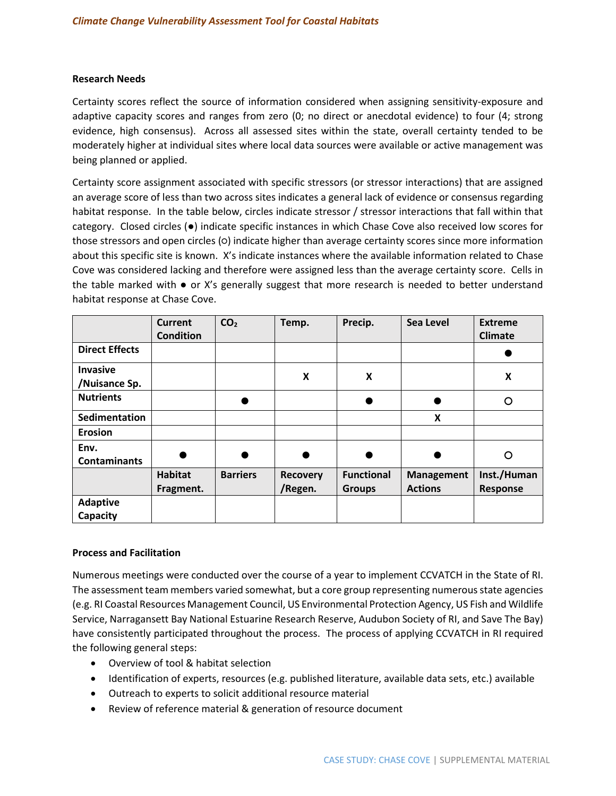### **Research Needs**

Certainty scores reflect the source of information considered when assigning sensitivity-exposure and adaptive capacity scores and ranges from zero (0; no direct or anecdotal evidence) to four (4; strong evidence, high consensus). Across all assessed sites within the state, overall certainty tended to be moderately higher at individual sites where local data sources were available or active management was being planned or applied.

Certainty score assignment associated with specific stressors (or stressor interactions) that are assigned an average score of less than two across sites indicates a general lack of evidence or consensus regarding habitat response. In the table below, circles indicate stressor / stressor interactions that fall within that category. Closed circles (●) indicate specific instances in which Chase Cove also received low scores for those stressors and open circles (○) indicate higher than average certainty scores since more information about this specific site is known. X's indicate instances where the available information related to Chase Cove was considered lacking and therefore were assigned less than the average certainty score. Cells in the table marked with  $\bullet$  or X's generally suggest that more research is needed to better understand habitat response at Chase Cove.

|                                  | <b>Current</b><br><b>Condition</b> | CO <sub>2</sub> | Temp.                      | Precip.                            | Sea Level                           | <b>Extreme</b><br><b>Climate</b> |
|----------------------------------|------------------------------------|-----------------|----------------------------|------------------------------------|-------------------------------------|----------------------------------|
| <b>Direct Effects</b>            |                                    |                 |                            |                                    |                                     |                                  |
| <b>Invasive</b><br>/Nuisance Sp. |                                    |                 | X                          | X                                  |                                     | X                                |
| <b>Nutrients</b>                 |                                    |                 |                            |                                    |                                     | റ                                |
| Sedimentation                    |                                    |                 |                            |                                    | X                                   |                                  |
| <b>Erosion</b>                   |                                    |                 |                            |                                    |                                     |                                  |
| Env.<br><b>Contaminants</b>      |                                    |                 |                            |                                    |                                     | O                                |
|                                  | <b>Habitat</b><br>Fragment.        | <b>Barriers</b> | <b>Recovery</b><br>/Regen. | <b>Functional</b><br><b>Groups</b> | <b>Management</b><br><b>Actions</b> | Inst./Human<br><b>Response</b>   |
| <b>Adaptive</b><br>Capacity      |                                    |                 |                            |                                    |                                     |                                  |

### **Process and Facilitation**

Numerous meetings were conducted over the course of a year to implement CCVATCH in the State of RI. The assessment team members varied somewhat, but a core group representing numerous state agencies (e.g. RI Coastal Resources Management Council, US Environmental Protection Agency, US Fish and Wildlife Service, Narragansett Bay National Estuarine Research Reserve, Audubon Society of RI, and Save The Bay) have consistently participated throughout the process. The process of applying CCVATCH in RI required the following general steps:

- Overview of tool & habitat selection
- Identification of experts, resources (e.g. published literature, available data sets, etc.) available
- Outreach to experts to solicit additional resource material
- Review of reference material & generation of resource document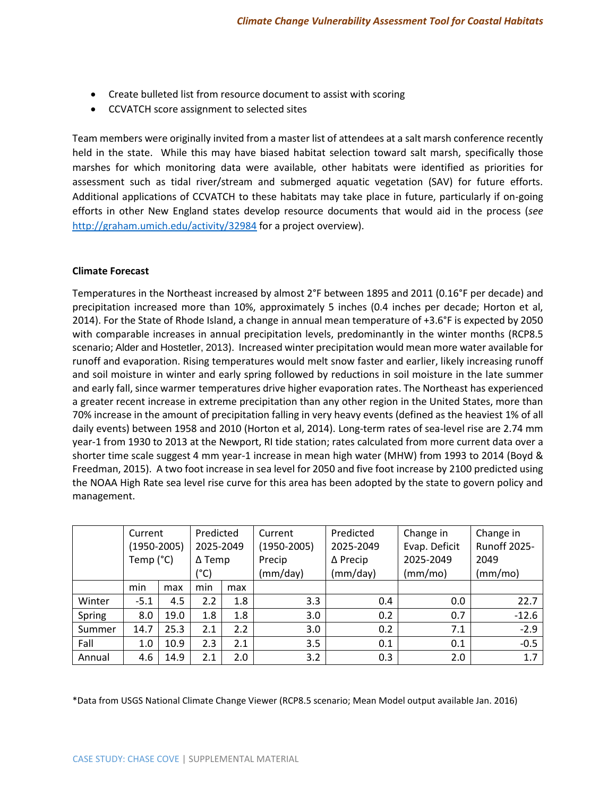- Create bulleted list from resource document to assist with scoring
- CCVATCH score assignment to selected sites

Team members were originally invited from a master list of attendees at a salt marsh conference recently held in the state. While this may have biased habitat selection toward salt marsh, specifically those marshes for which monitoring data were available, other habitats were identified as priorities for assessment such as tidal river/stream and submerged aquatic vegetation (SAV) for future efforts. Additional applications of CCVATCH to these habitats may take place in future, particularly if on-going efforts in other New England states develop resource documents that would aid in the process (*see* <http://graham.umich.edu/activity/32984> for a project overview).

## **Climate Forecast**

Temperatures in the Northeast increased by almost 2°F between 1895 and 2011 (0.16°F per decade) and precipitation increased more than 10%, approximately 5 inches (0.4 inches per decade; Horton et al, 2014). For the State of Rhode Island, a change in annual mean temperature of +3.6°F is expected by 2050 with comparable increases in annual precipitation levels, predominantly in the winter months (RCP8.5 scenario; Alder and Hostetler, 2013). Increased winter precipitation would mean more water available for runoff and evaporation. Rising temperatures would melt snow faster and earlier, likely increasing runoff and soil moisture in winter and early spring followed by reductions in soil moisture in the late summer and early fall, since warmer temperatures drive higher evaporation rates. The Northeast has experienced a greater recent increase in extreme precipitation than any other region in the United States, more than 70% increase in the amount of precipitation falling in very heavy events (defined as the heaviest 1% of all daily events) between 1958 and 2010 (Horton et al, 2014). Long-term rates of sea-level rise are 2.74 mm year-1 from 1930 to 2013 at the Newport, RI tide station; rates calculated from more current data over a shorter time scale suggest 4 mm year-1 increase in mean high water (MHW) from 1993 to 2014 (Boyd & Freedman, 2015). A two foot increase in sea level for 2050 and five foot increase by 2100 predicted using the NOAA High Rate sea level rise curve for this area has been adopted by the state to govern policy and management.

|        | Current<br>$(1950 - 2005)$<br>Temp (°C) |      | Predicted<br>2025-2049<br>$\Delta$ Temp<br>(°C) |     | Current<br>$(1950 - 2005)$<br>Precip<br>(mm/day) | Predicted<br>2025-2049<br>$\Delta$ Precip<br>(mm/day) | Change in<br>Evap. Deficit<br>2025-2049<br>(mm/mol) | Change in<br><b>Runoff 2025-</b><br>2049<br>(mm/mo) |
|--------|-----------------------------------------|------|-------------------------------------------------|-----|--------------------------------------------------|-------------------------------------------------------|-----------------------------------------------------|-----------------------------------------------------|
|        | min                                     | max  | min                                             | max |                                                  |                                                       |                                                     |                                                     |
| Winter | $-5.1$                                  | 4.5  | 2.2                                             | 1.8 | 3.3                                              | 0.4                                                   | 0.0                                                 | 22.7                                                |
| Spring | 8.0                                     | 19.0 | 1.8                                             | 1.8 | 3.0                                              | 0.2                                                   | 0.7                                                 | $-12.6$                                             |
| Summer | 14.7                                    | 25.3 | 2.1                                             | 2.2 | 3.0                                              | 0.2                                                   | 7.1                                                 | $-2.9$                                              |
| Fall   | 1.0                                     | 10.9 | 2.3                                             | 2.1 | 3.5                                              | 0.1                                                   | 0.1                                                 | $-0.5$                                              |
| Annual | 4.6                                     | 14.9 | 2.1                                             | 2.0 | 3.2                                              | 0.3                                                   | 2.0                                                 | 1.7                                                 |

\*Data from USGS National Climate Change Viewer (RCP8.5 scenario; Mean Model output available Jan. 2016)